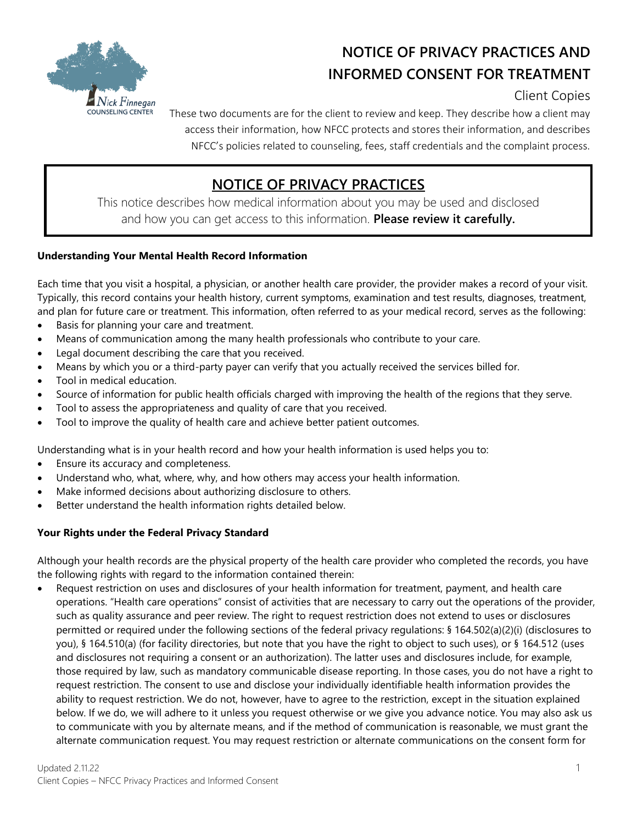

# **NOTICE OF PRIVACY PRACTICES AND INFORMED CONSENT FOR TREATMENT**

Client Copies

These two documents are for the client to review and keep. They describe how a client may access their information, how NFCC protects and stores their information, and describes NFCC's policies related to counseling, fees, staff credentials and the complaint process.

# **NOTICE OF PRIVACY PRACTICES**

This notice describes how medical information about you may be used and disclosed and how you can get access to this information. **Please review it carefully.**

# **Understanding Your Mental Health Record Information**

Each time that you visit a hospital, a physician, or another health care provider, the provider makes a record of your visit. Typically, this record contains your health history, current symptoms, examination and test results, diagnoses, treatment, and plan for future care or treatment. This information, often referred to as your medical record, serves as the following:

- Basis for planning your care and treatment.
- Means of communication among the many health professionals who contribute to your care.
- Legal document describing the care that you received.
- Means by which you or a third-party payer can verify that you actually received the services billed for.
- Tool in medical education.
- Source of information for public health officials charged with improving the health of the regions that they serve.
- Tool to assess the appropriateness and quality of care that you received.
- Tool to improve the quality of health care and achieve better patient outcomes.

Understanding what is in your health record and how your health information is used helps you to:

- Ensure its accuracy and completeness.
- Understand who, what, where, why, and how others may access your health information.
- Make informed decisions about authorizing disclosure to others.
- Better understand the health information rights detailed below.

#### **Your Rights under the Federal Privacy Standard**

Although your health records are the physical property of the health care provider who completed the records, you have the following rights with regard to the information contained therein:

 Request restriction on uses and disclosures of your health information for treatment, payment, and health care operations. "Health care operations" consist of activities that are necessary to carry out the operations of the provider, such as quality assurance and peer review. The right to request restriction does not extend to uses or disclosures permitted or required under the following sections of the federal privacy regulations: § 164.502(a)(2)(i) (disclosures to you), § 164.510(a) (for facility directories, but note that you have the right to object to such uses), or § 164.512 (uses and disclosures not requiring a consent or an authorization). The latter uses and disclosures include, for example, those required by law, such as mandatory communicable disease reporting. In those cases, you do not have a right to request restriction. The consent to use and disclose your individually identifiable health information provides the ability to request restriction. We do not, however, have to agree to the restriction, except in the situation explained below. If we do, we will adhere to it unless you request otherwise or we give you advance notice. You may also ask us to communicate with you by alternate means, and if the method of communication is reasonable, we must grant the alternate communication request. You may request restriction or alternate communications on the consent form for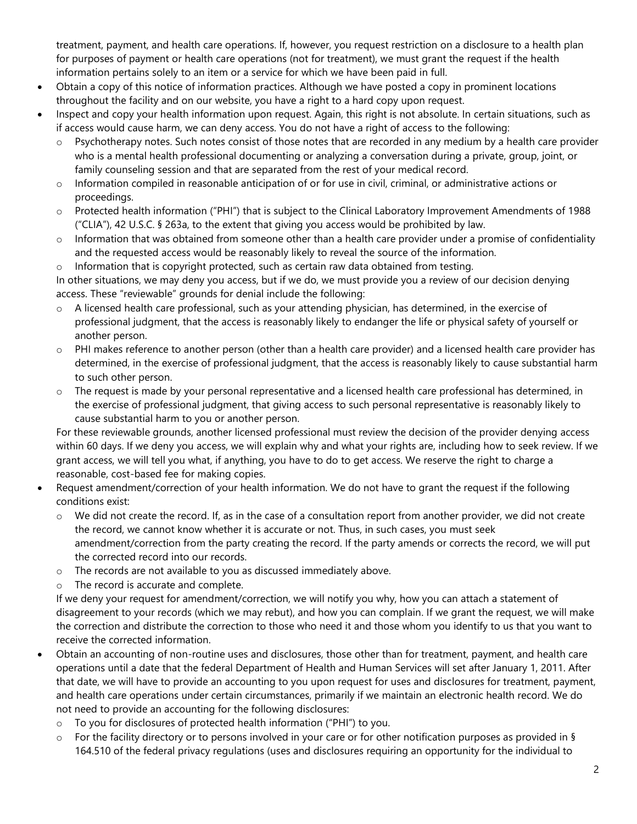treatment, payment, and health care operations. If, however, you request restriction on a disclosure to a health plan for purposes of payment or health care operations (not for treatment), we must grant the request if the health information pertains solely to an item or a service for which we have been paid in full.

- Obtain a copy of this notice of information practices. Although we have posted a copy in prominent locations throughout the facility and on our website, you have a right to a hard copy upon request.
- Inspect and copy your health information upon request. Again, this right is not absolute. In certain situations, such as if access would cause harm, we can deny access. You do not have a right of access to the following:
	- $\circ$  Psychotherapy notes. Such notes consist of those notes that are recorded in any medium by a health care provider who is a mental health professional documenting or analyzing a conversation during a private, group, joint, or family counseling session and that are separated from the rest of your medical record.
	- o Information compiled in reasonable anticipation of or for use in civil, criminal, or administrative actions or proceedings.
	- o Protected health information ("PHI") that is subject to the Clinical Laboratory Improvement Amendments of 1988 ("CLIA"), 42 U.S.C. § 263a, to the extent that giving you access would be prohibited by law.
	- $\circ$  Information that was obtained from someone other than a health care provider under a promise of confidentiality and the requested access would be reasonably likely to reveal the source of the information.
	- $\circ$  Information that is copyright protected, such as certain raw data obtained from testing.

In other situations, we may deny you access, but if we do, we must provide you a review of our decision denying access. These "reviewable" grounds for denial include the following:

- o A licensed health care professional, such as your attending physician, has determined, in the exercise of professional judgment, that the access is reasonably likely to endanger the life or physical safety of yourself or another person.
- o PHI makes reference to another person (other than a health care provider) and a licensed health care provider has determined, in the exercise of professional judgment, that the access is reasonably likely to cause substantial harm to such other person.
- o The request is made by your personal representative and a licensed health care professional has determined, in the exercise of professional judgment, that giving access to such personal representative is reasonably likely to cause substantial harm to you or another person.

For these reviewable grounds, another licensed professional must review the decision of the provider denying access within 60 days. If we deny you access, we will explain why and what your rights are, including how to seek review. If we grant access, we will tell you what, if anything, you have to do to get access. We reserve the right to charge a reasonable, cost-based fee for making copies.

- Request amendment/correction of your health information. We do not have to grant the request if the following conditions exist:
	- o We did not create the record. If, as in the case of a consultation report from another provider, we did not create the record, we cannot know whether it is accurate or not. Thus, in such cases, you must seek amendment/correction from the party creating the record. If the party amends or corrects the record, we will put the corrected record into our records.
	- o The records are not available to you as discussed immediately above.
	- o The record is accurate and complete.

If we deny your request for amendment/correction, we will notify you why, how you can attach a statement of disagreement to your records (which we may rebut), and how you can complain. If we grant the request, we will make the correction and distribute the correction to those who need it and those whom you identify to us that you want to receive the corrected information.

- Obtain an accounting of non-routine uses and disclosures, those other than for treatment, payment, and health care operations until a date that the federal Department of Health and Human Services will set after January 1, 2011. After that date, we will have to provide an accounting to you upon request for uses and disclosures for treatment, payment, and health care operations under certain circumstances, primarily if we maintain an electronic health record. We do not need to provide an accounting for the following disclosures:
	- o To you for disclosures of protected health information ("PHI") to you.
	- $\circ$  For the facility directory or to persons involved in your care or for other notification purposes as provided in § 164.510 of the federal privacy regulations (uses and disclosures requiring an opportunity for the individual to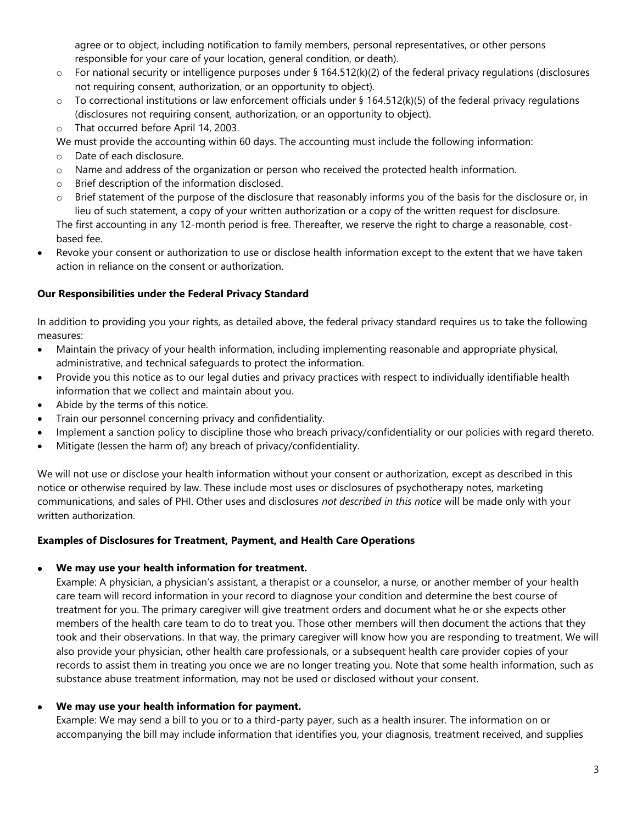agree or to object, including notification to family members, personal representatives, or other persons responsible for your care of your location, general condition, or death).

- $\circ$  For national security or intelligence purposes under § 164.512(k)(2) of the federal privacy regulations (disclosures not requiring consent, authorization, or an opportunity to object).
- $\circ$  To correctional institutions or law enforcement officials under § 164.512(k)(5) of the federal privacy regulations (disclosures not requiring consent, authorization, or an opportunity to object).
- o That occurred before April 14, 2003.
- We must provide the accounting within 60 days. The accounting must include the following information:
- o Date of each disclosure.
- o Name and address of the organization or person who received the protected health information.
- o Brief description of the information disclosed.
- o Brief statement of the purpose of the disclosure that reasonably informs you of the basis for the disclosure or, in lieu of such statement, a copy of your written authorization or a copy of the written request for disclosure.

The first accounting in any 12-month period is free. Thereafter, we reserve the right to charge a reasonable, costbased fee.

 Revoke your consent or authorization to use or disclose health information except to the extent that we have taken action in reliance on the consent or authorization.

# **Our Responsibilities under the Federal Privacy Standard**

In addition to providing you your rights, as detailed above, the federal privacy standard requires us to take the following measures:

- Maintain the privacy of your health information, including implementing reasonable and appropriate physical, administrative, and technical safeguards to protect the information.
- Provide you this notice as to our legal duties and privacy practices with respect to individually identifiable health information that we collect and maintain about you.
- Abide by the terms of this notice.
- Train our personnel concerning privacy and confidentiality.
- Implement a sanction policy to discipline those who breach privacy/confidentiality or our policies with regard thereto.
- Mitigate (lessen the harm of) any breach of privacy/confidentiality.

We will not use or disclose your health information without your consent or authorization, except as described in this notice or otherwise required by law. These include most uses or disclosures of psychotherapy notes, marketing communications, and sales of PHI. Other uses and disclosures *not described in this notice* will be made only with your written authorization.

# **Examples of Disclosures for Treatment, Payment, and Health Care Operations**

# **We may use your health information for treatment.**

Example: A physician, a physician's assistant, a therapist or a counselor, a nurse, or another member of your health care team will record information in your record to diagnose your condition and determine the best course of treatment for you. The primary caregiver will give treatment orders and document what he or she expects other members of the health care team to do to treat you. Those other members will then document the actions that they took and their observations. In that way, the primary caregiver will know how you are responding to treatment. We will also provide your physician, other health care professionals, or a subsequent health care provider copies of your records to assist them in treating you once we are no longer treating you. Note that some health information, such as substance abuse treatment information, may not be used or disclosed without your consent.

# **We may use your health information for payment.**

Example: We may send a bill to you or to a third-party payer, such as a health insurer. The information on or accompanying the bill may include information that identifies you, your diagnosis, treatment received, and supplies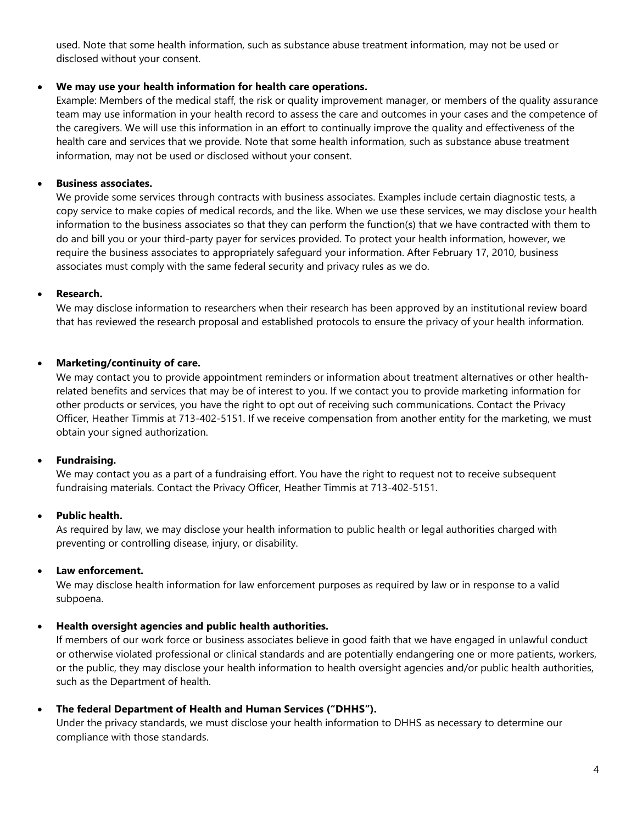used. Note that some health information, such as substance abuse treatment information, may not be used or disclosed without your consent.

#### **We may use your health information for health care operations.**

Example: Members of the medical staff, the risk or quality improvement manager, or members of the quality assurance team may use information in your health record to assess the care and outcomes in your cases and the competence of the caregivers. We will use this information in an effort to continually improve the quality and effectiveness of the health care and services that we provide. Note that some health information, such as substance abuse treatment information, may not be used or disclosed without your consent.

#### **Business associates.**

We provide some services through contracts with business associates. Examples include certain diagnostic tests, a copy service to make copies of medical records, and the like. When we use these services, we may disclose your health information to the business associates so that they can perform the function(s) that we have contracted with them to do and bill you or your third-party payer for services provided. To protect your health information, however, we require the business associates to appropriately safeguard your information. After February 17, 2010, business associates must comply with the same federal security and privacy rules as we do.

#### **Research.**

We may disclose information to researchers when their research has been approved by an institutional review board that has reviewed the research proposal and established protocols to ensure the privacy of your health information.

#### **Marketing/continuity of care.**

We may contact you to provide appointment reminders or information about treatment alternatives or other healthrelated benefits and services that may be of interest to you. If we contact you to provide marketing information for other products or services, you have the right to opt out of receiving such communications. Contact the Privacy Officer, Heather Timmis at 713-402-5151. If we receive compensation from another entity for the marketing, we must obtain your signed authorization.

# **Fundraising.**

We may contact you as a part of a fundraising effort. You have the right to request not to receive subsequent fundraising materials. Contact the Privacy Officer, Heather Timmis at 713-402-5151.

# **Public health.**

As required by law, we may disclose your health information to public health or legal authorities charged with preventing or controlling disease, injury, or disability.

# **Law enforcement.**

We may disclose health information for law enforcement purposes as required by law or in response to a valid subpoena.

# **Health oversight agencies and public health authorities.**

If members of our work force or business associates believe in good faith that we have engaged in unlawful conduct or otherwise violated professional or clinical standards and are potentially endangering one or more patients, workers, or the public, they may disclose your health information to health oversight agencies and/or public health authorities, such as the Department of health.

**The federal Department of Health and Human Services ("DHHS").**

Under the privacy standards, we must disclose your health information to DHHS as necessary to determine our compliance with those standards.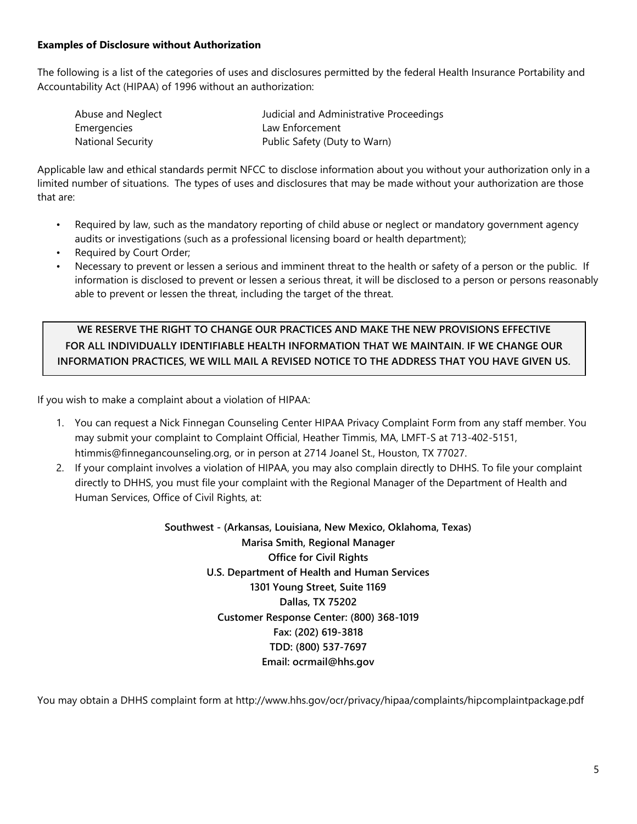#### **Examples of Disclosure without Authorization**

The following is a list of the categories of uses and disclosures permitted by the federal Health Insurance Portability and Accountability Act (HIPAA) of 1996 without an authorization:

| Abuse and Neglect        | Judicial and Administrative Proceedings |
|--------------------------|-----------------------------------------|
| Emergencies              | Law Enforcement                         |
| <b>National Security</b> | Public Safety (Duty to Warn)            |

Applicable law and ethical standards permit NFCC to disclose information about you without your authorization only in a limited number of situations. The types of uses and disclosures that may be made without your authorization are those that are:

- Required by law, such as the mandatory reporting of child abuse or neglect or mandatory government agency audits or investigations (such as a professional licensing board or health department);
- Required by Court Order;
- Necessary to prevent or lessen a serious and imminent threat to the health or safety of a person or the public. If information is disclosed to prevent or lessen a serious threat, it will be disclosed to a person or persons reasonably able to prevent or lessen the threat, including the target of the threat.

**WE RESERVE THE RIGHT TO CHANGE OUR PRACTICES AND MAKE THE NEW PROVISIONS EFFECTIVE FOR ALL INDIVIDUALLY IDENTIFIABLE HEALTH INFORMATION THAT WE MAINTAIN. IF WE CHANGE OUR INFORMATION PRACTICES, WE WILL MAIL A REVISED NOTICE TO THE ADDRESS THAT YOU HAVE GIVEN US.**

If you wish to make a complaint about a violation of HIPAA:

- 1. You can request a Nick Finnegan Counseling Center HIPAA Privacy Complaint Form from any staff member. You may submit your complaint to Complaint Official, Heather Timmis, MA, LMFT-S at 713-402-5151, htimmis@finnegancounseling.org, or in person at 2714 Joanel St., Houston, TX 77027.
- 2. If your complaint involves a violation of HIPAA, you may also complain directly to DHHS. To file your complaint directly to DHHS, you must file your complaint with the Regional Manager of the Department of Health and Human Services, Office of Civil Rights, at:

**Southwest - (Arkansas, Louisiana, New Mexico, Oklahoma, Texas) Marisa Smith, Regional Manager Office for Civil Rights U.S. Department of Health and Human Services 1301 Young Street, Suite 1169 Dallas, TX 75202 Customer Response Center: (800) 368-1019 Fax: (202) 619-3818 TDD: (800) 537-7697 Email: ocrmail@hhs.gov**

You may obtain a DHHS complaint form at http://www.hhs.gov/ocr/privacy/hipaa/complaints/hipcomplaintpackage.pdf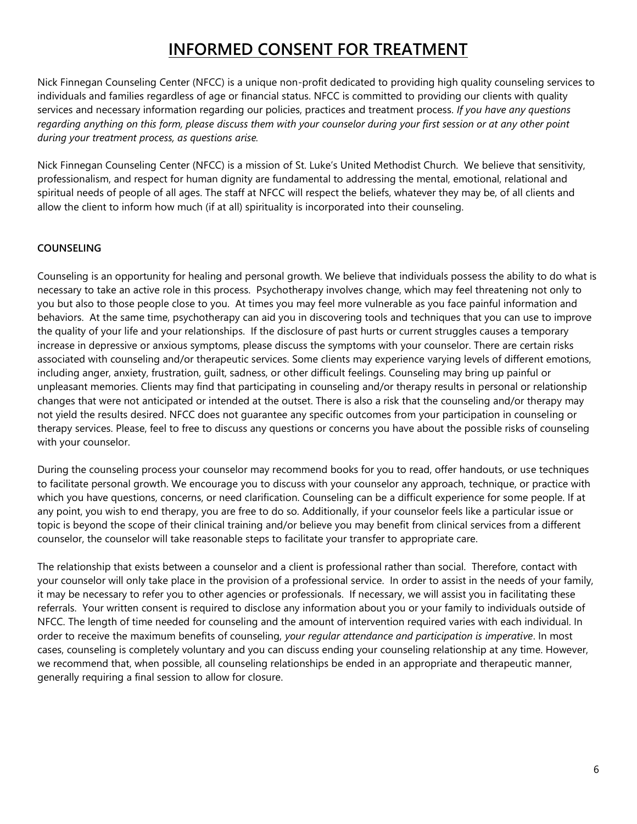# **INFORMED CONSENT FOR TREATMENT**

Nick Finnegan Counseling Center (NFCC) is a unique non-profit dedicated to providing high quality counseling services to individuals and families regardless of age or financial status. NFCC is committed to providing our clients with quality services and necessary information regarding our policies, practices and treatment process. *If you have any questions regarding anything on this form, please discuss them with your counselor during your first session or at any other point during your treatment process, as questions arise.*

Nick Finnegan Counseling Center (NFCC) is a mission of St. Luke's United Methodist Church. We believe that sensitivity, professionalism, and respect for human dignity are fundamental to addressing the mental, emotional, relational and spiritual needs of people of all ages. The staff at NFCC will respect the beliefs, whatever they may be, of all clients and allow the client to inform how much (if at all) spirituality is incorporated into their counseling.

# **COUNSELING**

Counseling is an opportunity for healing and personal growth. We believe that individuals possess the ability to do what is necessary to take an active role in this process. Psychotherapy involves change, which may feel threatening not only to you but also to those people close to you. At times you may feel more vulnerable as you face painful information and behaviors. At the same time, psychotherapy can aid you in discovering tools and techniques that you can use to improve the quality of your life and your relationships. If the disclosure of past hurts or current struggles causes a temporary increase in depressive or anxious symptoms, please discuss the symptoms with your counselor. There are certain risks associated with counseling and/or therapeutic services. Some clients may experience varying levels of different emotions, including anger, anxiety, frustration, guilt, sadness, or other difficult feelings. Counseling may bring up painful or unpleasant memories. Clients may find that participating in counseling and/or therapy results in personal or relationship changes that were not anticipated or intended at the outset. There is also a risk that the counseling and/or therapy may not yield the results desired. NFCC does not guarantee any specific outcomes from your participation in counseling or therapy services. Please, feel to free to discuss any questions or concerns you have about the possible risks of counseling with your counselor.

During the counseling process your counselor may recommend books for you to read, offer handouts, or use techniques to facilitate personal growth. We encourage you to discuss with your counselor any approach, technique, or practice with which you have questions, concerns, or need clarification. Counseling can be a difficult experience for some people. If at any point, you wish to end therapy, you are free to do so. Additionally, if your counselor feels like a particular issue or topic is beyond the scope of their clinical training and/or believe you may benefit from clinical services from a different counselor, the counselor will take reasonable steps to facilitate your transfer to appropriate care.

The relationship that exists between a counselor and a client is professional rather than social. Therefore, contact with your counselor will only take place in the provision of a professional service. In order to assist in the needs of your family, it may be necessary to refer you to other agencies or professionals. If necessary, we will assist you in facilitating these referrals. Your written consent is required to disclose any information about you or your family to individuals outside of NFCC. The length of time needed for counseling and the amount of intervention required varies with each individual. In order to receive the maximum benefits of counseling, *your regular attendance and participation is imperative*. In most cases, counseling is completely voluntary and you can discuss ending your counseling relationship at any time. However, we recommend that, when possible, all counseling relationships be ended in an appropriate and therapeutic manner, generally requiring a final session to allow for closure.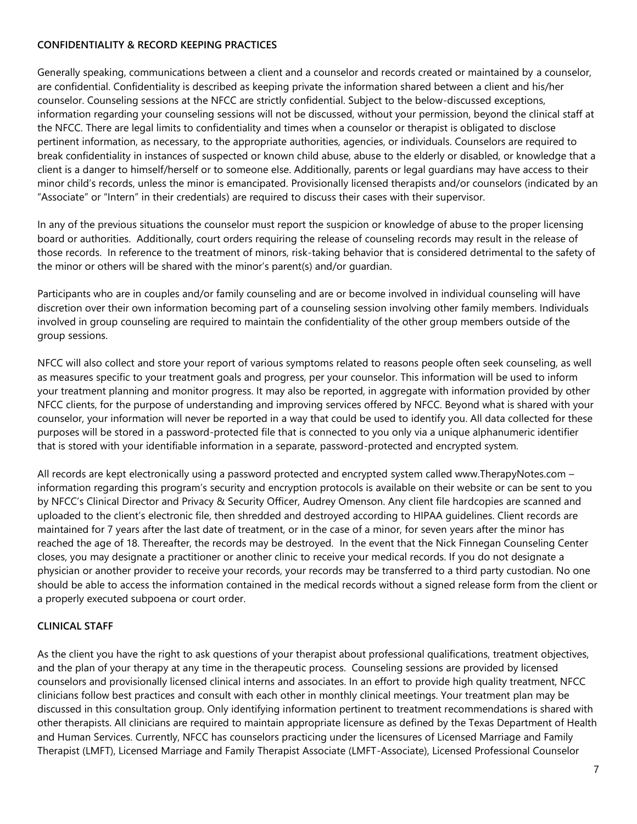#### **CONFIDENTIALITY & RECORD KEEPING PRACTICES**

Generally speaking, communications between a client and a counselor and records created or maintained by a counselor, are confidential. Confidentiality is described as keeping private the information shared between a client and his/her counselor. Counseling sessions at the NFCC are strictly confidential. Subject to the below-discussed exceptions, information regarding your counseling sessions will not be discussed, without your permission, beyond the clinical staff at the NFCC. There are legal limits to confidentiality and times when a counselor or therapist is obligated to disclose pertinent information, as necessary, to the appropriate authorities, agencies, or individuals. Counselors are required to break confidentiality in instances of suspected or known child abuse, abuse to the elderly or disabled, or knowledge that a client is a danger to himself/herself or to someone else. Additionally, parents or legal guardians may have access to their minor child's records, unless the minor is emancipated. Provisionally licensed therapists and/or counselors (indicated by an "Associate" or "Intern" in their credentials) are required to discuss their cases with their supervisor.

In any of the previous situations the counselor must report the suspicion or knowledge of abuse to the proper licensing board or authorities. Additionally, court orders requiring the release of counseling records may result in the release of those records. In reference to the treatment of minors, risk-taking behavior that is considered detrimental to the safety of the minor or others will be shared with the minor's parent(s) and/or guardian.

Participants who are in couples and/or family counseling and are or become involved in individual counseling will have discretion over their own information becoming part of a counseling session involving other family members. Individuals involved in group counseling are required to maintain the confidentiality of the other group members outside of the group sessions.

NFCC will also collect and store your report of various symptoms related to reasons people often seek counseling, as well as measures specific to your treatment goals and progress, per your counselor. This information will be used to inform your treatment planning and monitor progress. It may also be reported, in aggregate with information provided by other NFCC clients, for the purpose of understanding and improving services offered by NFCC. Beyond what is shared with your counselor, your information will never be reported in a way that could be used to identify you. All data collected for these purposes will be stored in a password-protected file that is connected to you only via a unique alphanumeric identifier that is stored with your identifiable information in a separate, password-protected and encrypted system.

All records are kept electronically using a password protected and encrypted system called www.TherapyNotes.com – information regarding this program's security and encryption protocols is available on their website or can be sent to you by NFCC's Clinical Director and Privacy & Security Officer, Audrey Omenson. Any client file hardcopies are scanned and uploaded to the client's electronic file, then shredded and destroyed according to HIPAA guidelines. Client records are maintained for 7 years after the last date of treatment, or in the case of a minor, for seven years after the minor has reached the age of 18. Thereafter, the records may be destroyed. In the event that the Nick Finnegan Counseling Center closes, you may designate a practitioner or another clinic to receive your medical records. If you do not designate a physician or another provider to receive your records, your records may be transferred to a third party custodian. No one should be able to access the information contained in the medical records without a signed release form from the client or a properly executed subpoena or court order.

# **CLINICAL STAFF**

As the client you have the right to ask questions of your therapist about professional qualifications, treatment objectives, and the plan of your therapy at any time in the therapeutic process. Counseling sessions are provided by licensed counselors and provisionally licensed clinical interns and associates. In an effort to provide high quality treatment, NFCC clinicians follow best practices and consult with each other in monthly clinical meetings. Your treatment plan may be discussed in this consultation group. Only identifying information pertinent to treatment recommendations is shared with other therapists. All clinicians are required to maintain appropriate licensure as defined by the Texas Department of Health and Human Services. Currently, NFCC has counselors practicing under the licensures of Licensed Marriage and Family Therapist (LMFT), Licensed Marriage and Family Therapist Associate (LMFT-Associate), Licensed Professional Counselor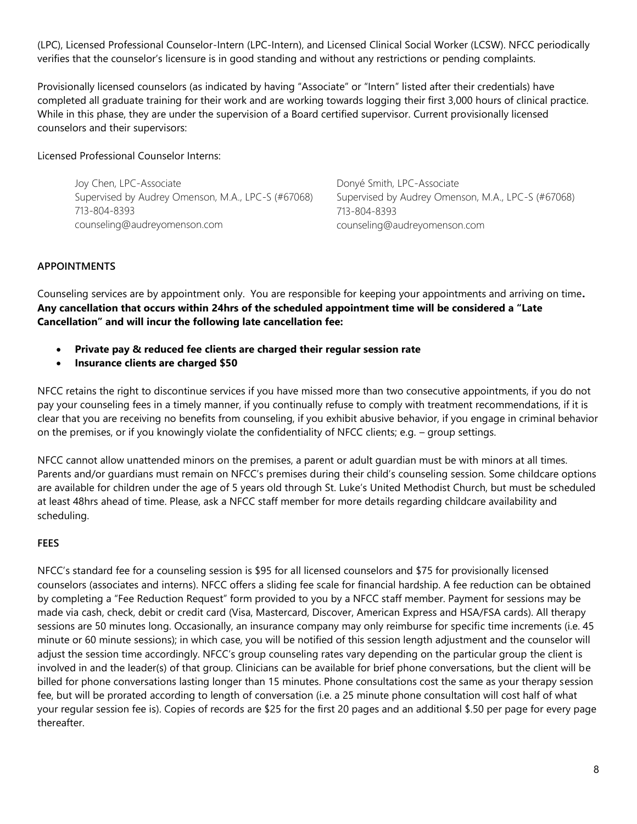(LPC), Licensed Professional Counselor-Intern (LPC-Intern), and Licensed Clinical Social Worker (LCSW). NFCC periodically verifies that the counselor's licensure is in good standing and without any restrictions or pending complaints.

Provisionally licensed counselors (as indicated by having "Associate" or "Intern" listed after their credentials) have completed all graduate training for their work and are working towards logging their first 3,000 hours of clinical practice. While in this phase, they are under the supervision of a Board certified supervisor. Current provisionally licensed counselors and their supervisors:

#### Licensed Professional Counselor Interns:

Joy Chen, LPC-Associate Supervised by Audrey Omenson, M.A., LPC-S (#67068) 713-804-8393 counseling@audreyomenson.com

Donyé Smith, LPC-Associate Supervised by Audrey Omenson, M.A., LPC-S (#67068) 713-804-8393 counseling@audreyomenson.com

#### **APPOINTMENTS**

Counseling services are by appointment only. You are responsible for keeping your appointments and arriving on time**. Any cancellation that occurs within 24hrs of the scheduled appointment time will be considered a "Late Cancellation" and will incur the following late cancellation fee:**

- **Private pay & reduced fee clients are charged their regular session rate**
- **Insurance clients are charged \$50**

NFCC retains the right to discontinue services if you have missed more than two consecutive appointments, if you do not pay your counseling fees in a timely manner, if you continually refuse to comply with treatment recommendations, if it is clear that you are receiving no benefits from counseling, if you exhibit abusive behavior, if you engage in criminal behavior on the premises, or if you knowingly violate the confidentiality of NFCC clients; e.g. – group settings.

NFCC cannot allow unattended minors on the premises, a parent or adult guardian must be with minors at all times. Parents and/or guardians must remain on NFCC's premises during their child's counseling session. Some childcare options are available for children under the age of 5 years old through St. Luke's United Methodist Church, but must be scheduled at least 48hrs ahead of time. Please, ask a NFCC staff member for more details regarding childcare availability and scheduling.

# **FEES**

NFCC's standard fee for a counseling session is \$95 for all licensed counselors and \$75 for provisionally licensed counselors (associates and interns). NFCC offers a sliding fee scale for financial hardship. A fee reduction can be obtained by completing a "Fee Reduction Request" form provided to you by a NFCC staff member. Payment for sessions may be made via cash, check, debit or credit card (Visa, Mastercard, Discover, American Express and HSA/FSA cards). All therapy sessions are 50 minutes long. Occasionally, an insurance company may only reimburse for specific time increments (i.e. 45 minute or 60 minute sessions); in which case, you will be notified of this session length adjustment and the counselor will adjust the session time accordingly. NFCC's group counseling rates vary depending on the particular group the client is involved in and the leader(s) of that group. Clinicians can be available for brief phone conversations, but the client will be billed for phone conversations lasting longer than 15 minutes. Phone consultations cost the same as your therapy session fee, but will be prorated according to length of conversation (i.e. a 25 minute phone consultation will cost half of what your regular session fee is). Copies of records are \$25 for the first 20 pages and an additional \$.50 per page for every page thereafter.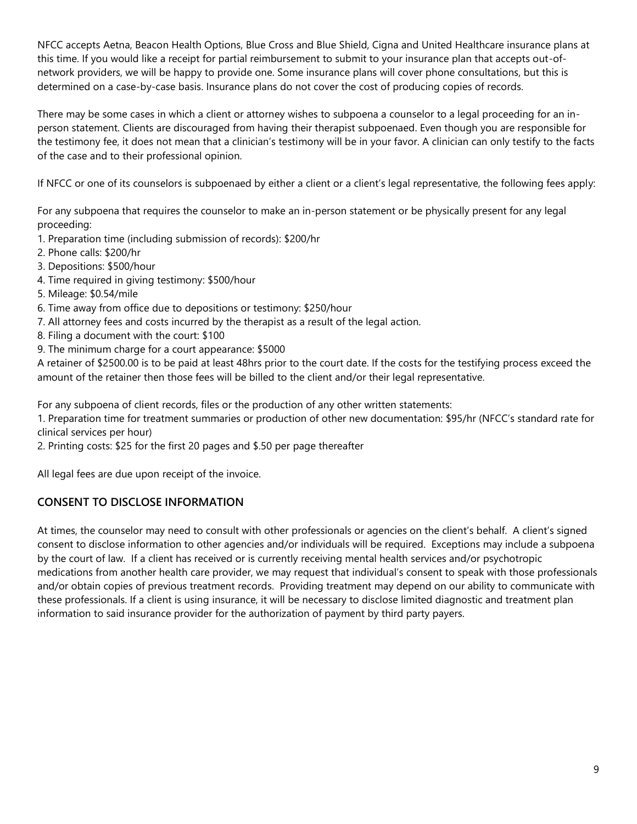NFCC accepts Aetna, Beacon Health Options, Blue Cross and Blue Shield, Cigna and United Healthcare insurance plans at this time. If you would like a receipt for partial reimbursement to submit to your insurance plan that accepts out-ofnetwork providers, we will be happy to provide one. Some insurance plans will cover phone consultations, but this is determined on a case-by-case basis. Insurance plans do not cover the cost of producing copies of records.

There may be some cases in which a client or attorney wishes to subpoena a counselor to a legal proceeding for an inperson statement. Clients are discouraged from having their therapist subpoenaed. Even though you are responsible for the testimony fee, it does not mean that a clinician's testimony will be in your favor. A clinician can only testify to the facts of the case and to their professional opinion.

If NFCC or one of its counselors is subpoenaed by either a client or a client's legal representative, the following fees apply:

For any subpoena that requires the counselor to make an in-person statement or be physically present for any legal proceeding:

- 1. Preparation time (including submission of records): \$200/hr
- 2. Phone calls: \$200/hr
- 3. Depositions: \$500/hour
- 4. Time required in giving testimony: \$500/hour
- 5. Mileage: \$0.54/mile
- 6. Time away from office due to depositions or testimony: \$250/hour
- 7. All attorney fees and costs incurred by the therapist as a result of the legal action.
- 8. Filing a document with the court: \$100
- 9. The minimum charge for a court appearance: \$5000

A retainer of \$2500.00 is to be paid at least 48hrs prior to the court date. If the costs for the testifying process exceed the amount of the retainer then those fees will be billed to the client and/or their legal representative.

For any subpoena of client records, files or the production of any other written statements:

1. Preparation time for treatment summaries or production of other new documentation: \$95/hr (NFCC's standard rate for clinical services per hour)

2. Printing costs: \$25 for the first 20 pages and \$.50 per page thereafter

All legal fees are due upon receipt of the invoice.

# **CONSENT TO DISCLOSE INFORMATION**

At times, the counselor may need to consult with other professionals or agencies on the client's behalf. A client's signed consent to disclose information to other agencies and/or individuals will be required. Exceptions may include a subpoena by the court of law. If a client has received or is currently receiving mental health services and/or psychotropic medications from another health care provider, we may request that individual's consent to speak with those professionals and/or obtain copies of previous treatment records. Providing treatment may depend on our ability to communicate with these professionals. If a client is using insurance, it will be necessary to disclose limited diagnostic and treatment plan information to said insurance provider for the authorization of payment by third party payers.